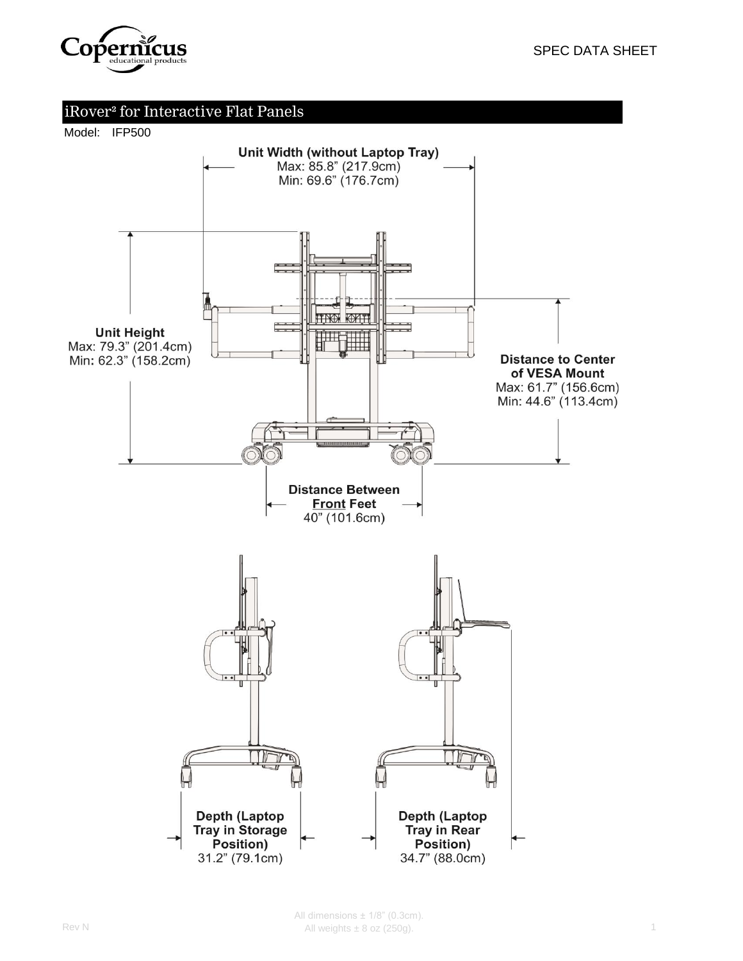

#### Model: IFP500

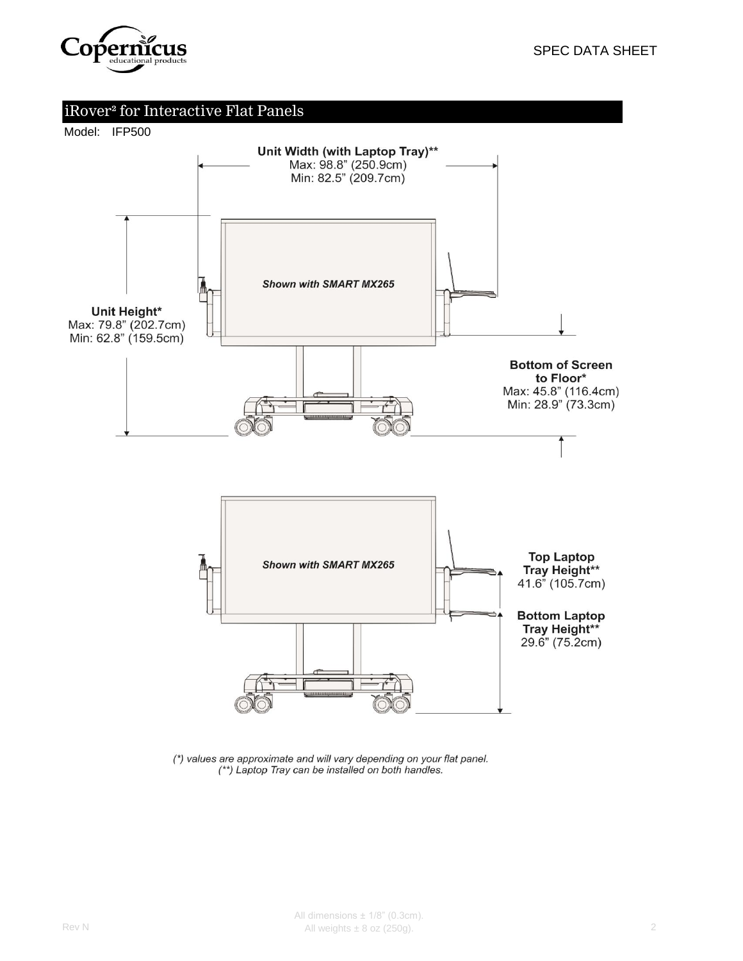





(\*) values are approximate and will vary depending on your flat panel. (\*\*) Laptop Tray can be installed on both handles.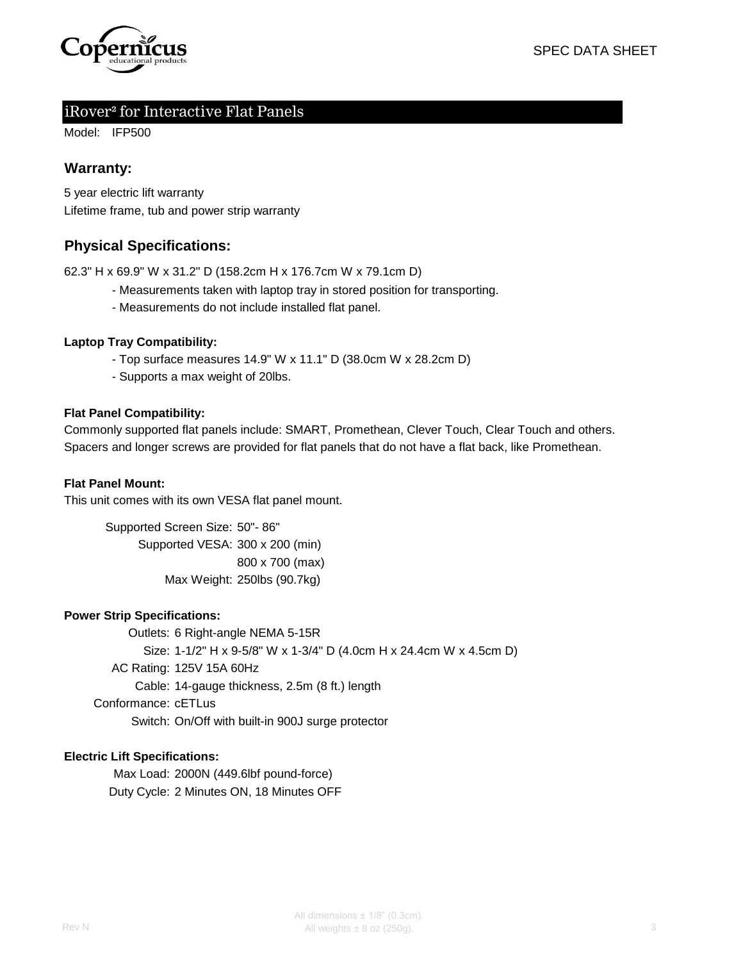

Model: IFP500

### **Warranty:**

5 year electric lift warranty Lifetime frame, tub and power strip warranty

### **Physical Specifications:**

62.3" H x 69.9" W x 31.2" D (158.2cm H x 176.7cm W x 79.1cm D)

- Measurements taken with laptop tray in stored position for transporting.
- Measurements do not include installed flat panel.

#### **Laptop Tray Compatibility:**

- Top surface measures 14.9" W x 11.1" D (38.0cm W x 28.2cm D)
- Supports a max weight of 20lbs.

#### **Flat Panel Compatibility:**

Spacers and longer screws are provided for flat panels that do not have a flat back, like Promethean. Commonly supported flat panels include: SMART, Promethean, Clever Touch, Clear Touch and others.

#### **Flat Panel Mount:**

This unit comes with its own VESA flat panel mount.

Supported Screen Size: 50"- 86" Supported VESA: 300 x 200 (min) 800 x 700 (max) Max Weight: 250lbs (90.7kg)

#### **Power Strip Specifications:**

Outlets: 6 Right-angle NEMA 5-15R Size: 1-1/2" H x 9-5/8" W x 1-3/4" D (4.0cm H x 24.4cm W x 4.5cm D) AC Rating: 125V 15A 60Hz Cable: 14-gauge thickness, 2.5m (8 ft.) length Conformance: cETLus Switch: On/Off with built-in 900J surge protector

#### **Electric Lift Specifications:**

Max Load: 2000N (449.6lbf pound-force) Duty Cycle: 2 Minutes ON, 18 Minutes OFF